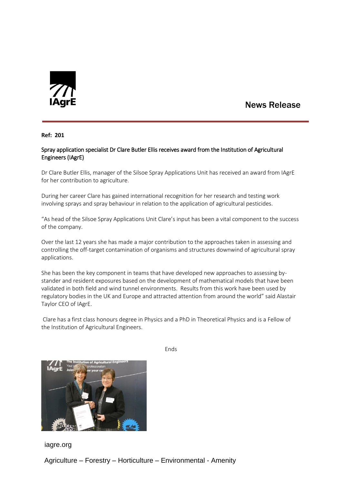

## News Release

**Ref: 201**

## Spray application specialist Dr Clare Butler Ellis receives award from the Institution of Agricultural Engineers (IAgrE)

Dr Clare Butler Ellis, manager of the Silsoe Spray Applications Unit has received an award from IAgrE for her contribution to agriculture.

During her career Clare has gained international recognition for her research and testing work involving sprays and spray behaviour in relation to the application of agricultural pesticides.

"As head of the Silsoe Spray Applications Unit Clare's input has been a vital component to the success of the company.

Over the last 12 years she has made a major contribution to the approaches taken in assessing and controlling the off-target contamination of organisms and structures downwind of agricultural spray applications.

She has been the key component in teams that have developed new approaches to assessing bystander and resident exposures based on the development of mathematical models that have been validated in both field and wind tunnel environments. Results from this work have been used by regulatory bodies in the UK and Europe and attracted attention from around the world" said Alastair Taylor CEO of IAgrE.

Clare has a first class honours degree in Physics and a PhD in Theoretical Physics and is a Fellow of the Institution of Agricultural Engineers.



Ends

iagre.org